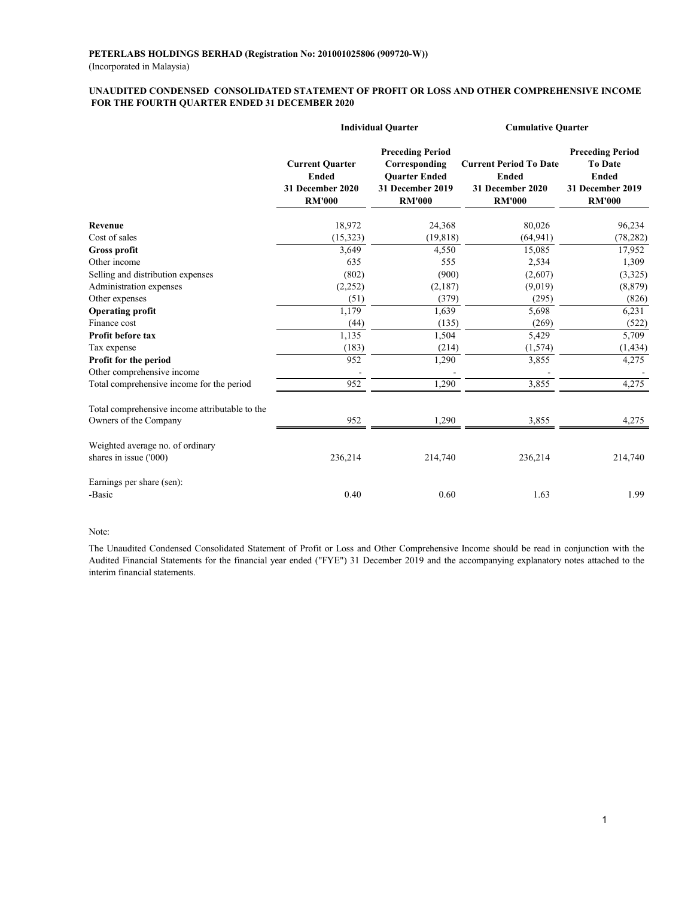#### **FOR THE FOURTH QUARTER ENDED 31 DECEMBER 2020 UNAUDITED CONDENSED CONSOLIDATED STATEMENT OF PROFIT OR LOSS AND OTHER COMPREHENSIVE INCOME**

|                                                |                                                                             | <b>Individual Quarter</b>                                                                             | <b>Cumulative Quarter</b>                                                          |                                                                                                |  |
|------------------------------------------------|-----------------------------------------------------------------------------|-------------------------------------------------------------------------------------------------------|------------------------------------------------------------------------------------|------------------------------------------------------------------------------------------------|--|
|                                                | <b>Current Quarter</b><br><b>Ended</b><br>31 December 2020<br><b>RM'000</b> | <b>Preceding Period</b><br>Corresponding<br><b>Ouarter Ended</b><br>31 December 2019<br><b>RM'000</b> | <b>Current Period To Date</b><br><b>Ended</b><br>31 December 2020<br><b>RM'000</b> | <b>Preceding Period</b><br><b>To Date</b><br><b>Ended</b><br>31 December 2019<br><b>RM'000</b> |  |
| Revenue                                        | 18,972                                                                      | 24,368                                                                                                | 80,026                                                                             | 96,234                                                                                         |  |
| Cost of sales                                  | (15, 323)                                                                   | (19, 818)                                                                                             | (64, 941)                                                                          | (78, 282)                                                                                      |  |
| Gross profit                                   | 3,649                                                                       | 4,550                                                                                                 | 15,085                                                                             | 17,952                                                                                         |  |
| Other income                                   | 635                                                                         | 555                                                                                                   | 2,534                                                                              | 1,309                                                                                          |  |
| Selling and distribution expenses              | (802)                                                                       | (900)                                                                                                 | (2,607)                                                                            | (3,325)                                                                                        |  |
| Administration expenses                        | (2,252)                                                                     | (2,187)                                                                                               | (9,019)                                                                            | (8, 879)                                                                                       |  |
| Other expenses                                 | (51)                                                                        | (379)                                                                                                 | (295)                                                                              | (826)                                                                                          |  |
| <b>Operating profit</b>                        | 1,179                                                                       | 1,639                                                                                                 | 5,698                                                                              | 6,231                                                                                          |  |
| Finance cost                                   | (44)                                                                        | (135)                                                                                                 | (269)                                                                              | (522)                                                                                          |  |
| <b>Profit before tax</b>                       | 1,135                                                                       | 1,504                                                                                                 | 5,429                                                                              | 5,709                                                                                          |  |
| Tax expense                                    | (183)                                                                       | (214)                                                                                                 | (1,574)                                                                            | (1, 434)                                                                                       |  |
| Profit for the period                          | 952                                                                         | 1,290                                                                                                 | 3,855                                                                              | 4,275                                                                                          |  |
| Other comprehensive income                     |                                                                             |                                                                                                       |                                                                                    |                                                                                                |  |
| Total comprehensive income for the period      | 952                                                                         | 1,290                                                                                                 | 3,855                                                                              | 4,275                                                                                          |  |
| Total comprehensive income attributable to the |                                                                             |                                                                                                       |                                                                                    |                                                                                                |  |
| Owners of the Company                          | 952                                                                         | 1,290                                                                                                 | 3,855                                                                              | 4,275                                                                                          |  |
| Weighted average no. of ordinary               |                                                                             |                                                                                                       |                                                                                    |                                                                                                |  |
| shares in issue ('000)                         | 236,214                                                                     | 214,740                                                                                               | 236,214                                                                            | 214,740                                                                                        |  |
| Earnings per share (sen):                      |                                                                             |                                                                                                       |                                                                                    |                                                                                                |  |
| -Basic                                         | 0.40                                                                        | 0.60                                                                                                  | 1.63                                                                               | 1.99                                                                                           |  |

#### Note:

The Unaudited Condensed Consolidated Statement of Profit or Loss and Other Comprehensive Income should be read in conjunction with the Audited Financial Statements for the financial year ended ("FYE") 31 December 2019 and the accompanying explanatory notes attached to the interim financial statements.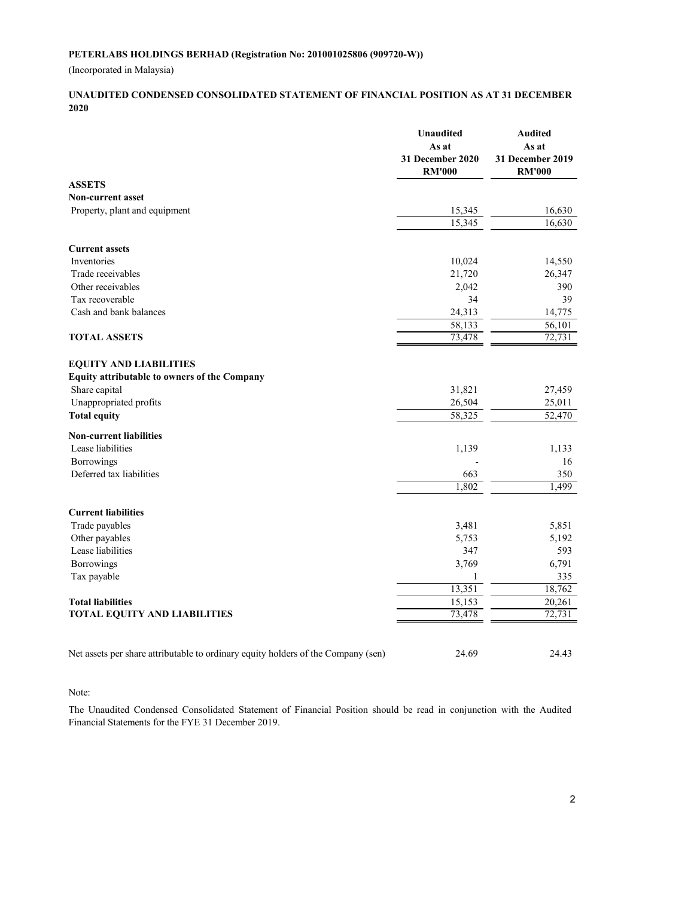(Incorporated in Malaysia)

#### **UNAUDITED CONDENSED CONSOLIDATED STATEMENT OF FINANCIAL POSITION AS AT 31 DECEMBER 2020**

|                                                                                   | <b>Unaudited</b><br>As at         | <b>Audited</b><br>As at           |
|-----------------------------------------------------------------------------------|-----------------------------------|-----------------------------------|
|                                                                                   | 31 December 2020<br><b>RM'000</b> | 31 December 2019<br><b>RM'000</b> |
| <b>ASSETS</b>                                                                     |                                   |                                   |
| <b>Non-current asset</b>                                                          |                                   |                                   |
| Property, plant and equipment                                                     | 15,345                            | 16,630                            |
|                                                                                   | 15,345                            | 16,630                            |
| <b>Current assets</b>                                                             |                                   |                                   |
| <b>Inventories</b>                                                                | 10,024                            | 14,550                            |
| Trade receivables                                                                 | 21,720                            | 26,347                            |
| Other receivables                                                                 | 2,042                             | 390                               |
| Tax recoverable                                                                   | 34                                | 39                                |
| Cash and bank balances                                                            | 24,313                            | 14,775                            |
|                                                                                   | 58,133                            | 56,101                            |
| <b>TOTAL ASSETS</b>                                                               | 73,478                            | 72,731                            |
| <b>EQUITY AND LIABILITIES</b>                                                     |                                   |                                   |
| Equity attributable to owners of the Company                                      |                                   |                                   |
| Share capital                                                                     | 31,821                            | 27,459                            |
| Unappropriated profits                                                            | 26,504                            | 25,011                            |
| <b>Total equity</b>                                                               | 58,325                            | 52,470                            |
| <b>Non-current liabilities</b>                                                    |                                   |                                   |
| Lease liabilities                                                                 | 1,139                             | 1,133                             |
| <b>Borrowings</b>                                                                 |                                   | 16                                |
| Deferred tax liabilities                                                          | 663                               | 350                               |
|                                                                                   | 1,802                             | 1,499                             |
| <b>Current liabilities</b>                                                        |                                   |                                   |
| Trade payables                                                                    | 3,481                             | 5,851                             |
| Other payables                                                                    | 5,753                             | 5,192                             |
| Lease liabilities                                                                 | 347                               | 593                               |
| Borrowings                                                                        | 3,769                             | 6,791                             |
| Tax payable                                                                       | 1                                 | 335                               |
|                                                                                   | 13,351                            | 18,762                            |
| <b>Total liabilities</b>                                                          | 15,153                            | 20,261                            |
| <b>TOTAL EQUITY AND LIABILITIES</b>                                               | 73,478                            | 72,731                            |
|                                                                                   |                                   |                                   |
| Net assets per share attributable to ordinary equity holders of the Company (sen) | 24.69                             | 24.43                             |

Note:

The Unaudited Condensed Consolidated Statement of Financial Position should be read in conjunction with the Audited Financial Statements for the FYE 31 December 2019.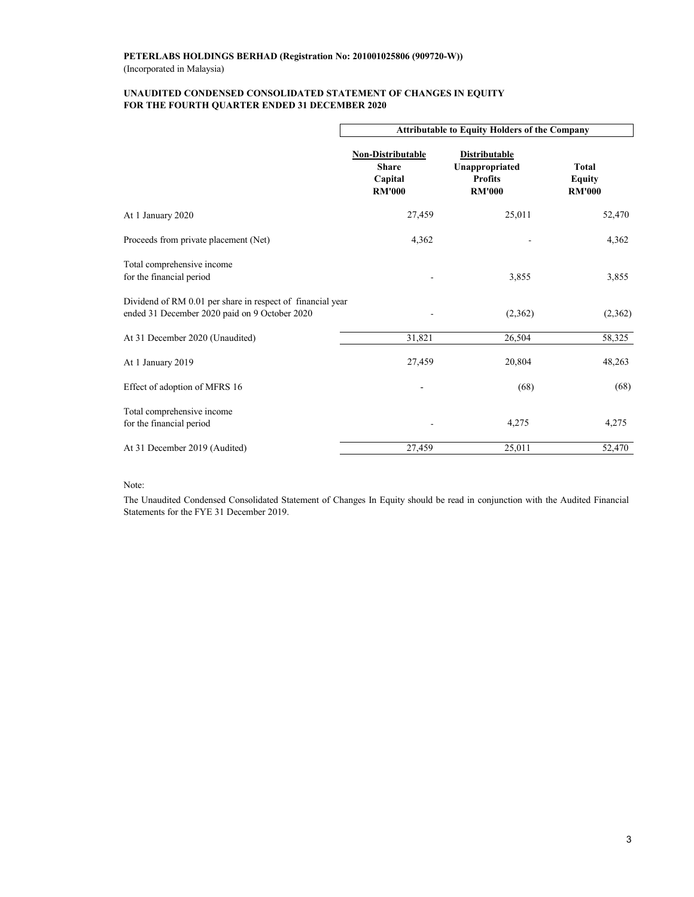#### **UNAUDITED CONDENSED CONSOLIDATED STATEMENT OF CHANGES IN EQUITY FOR THE FOURTH QUARTER ENDED 31 DECEMBER 2020**

|                                                                                                             | <b>Attributable to Equity Holders of the Company</b>                 |                                                                           |                                                |  |  |
|-------------------------------------------------------------------------------------------------------------|----------------------------------------------------------------------|---------------------------------------------------------------------------|------------------------------------------------|--|--|
|                                                                                                             | <b>Non-Distributable</b><br><b>Share</b><br>Capital<br><b>RM'000</b> | <b>Distributable</b><br>Unappropriated<br><b>Profits</b><br><b>RM'000</b> | <b>Total</b><br><b>Equity</b><br><b>RM'000</b> |  |  |
| At 1 January 2020                                                                                           | 27,459                                                               | 25,011                                                                    | 52,470                                         |  |  |
| Proceeds from private placement (Net)                                                                       | 4,362                                                                |                                                                           | 4,362                                          |  |  |
| Total comprehensive income<br>for the financial period                                                      |                                                                      | 3,855                                                                     | 3,855                                          |  |  |
| Dividend of RM 0.01 per share in respect of financial year<br>ended 31 December 2020 paid on 9 October 2020 |                                                                      | (2,362)                                                                   | (2,362)                                        |  |  |
| At 31 December 2020 (Unaudited)                                                                             | 31,821                                                               | 26,504                                                                    | 58,325                                         |  |  |
| At 1 January 2019                                                                                           | 27,459                                                               | 20,804                                                                    | 48,263                                         |  |  |
| Effect of adoption of MFRS 16                                                                               |                                                                      | (68)                                                                      | (68)                                           |  |  |
| Total comprehensive income<br>for the financial period                                                      |                                                                      | 4,275                                                                     | 4,275                                          |  |  |
| At 31 December 2019 (Audited)                                                                               | 27,459                                                               | 25,011                                                                    | 52,470                                         |  |  |

Note:

The Unaudited Condensed Consolidated Statement of Changes In Equity should be read in conjunction with the Audited Financial Statements for the FYE 31 December 2019.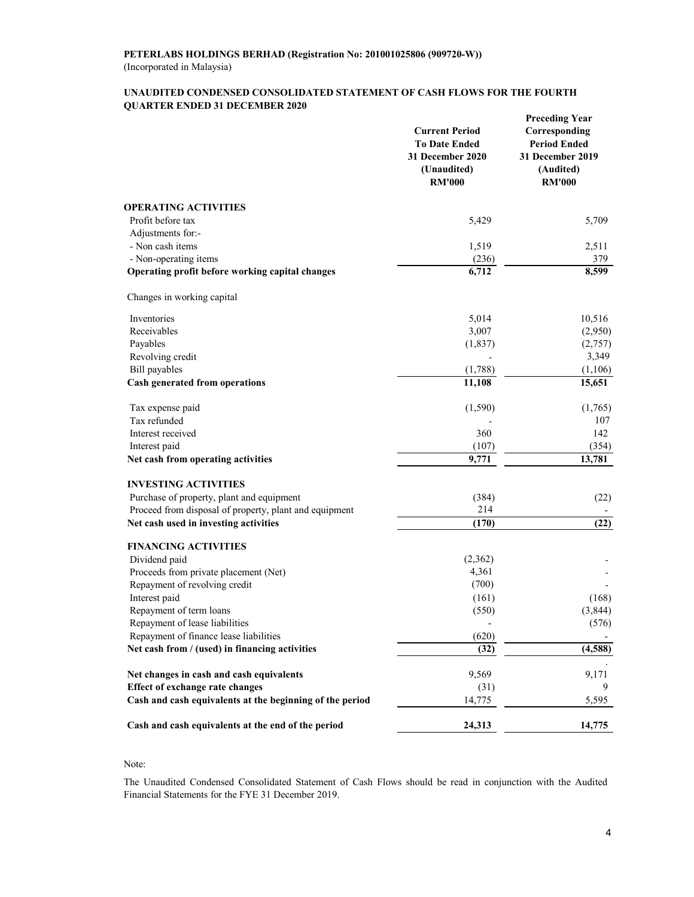#### **UNAUDITED CONDENSED CONSOLIDATED STATEMENT OF CASH FLOWS FOR THE FOURTH QUARTER ENDED 31 DECEMBER 2020**

|                                                          | <b>Current Period</b><br><b>To Date Ended</b><br>31 December 2020<br>(Unaudited)<br><b>RM'000</b> | <b>Preceding Year</b><br>Corresponding<br><b>Period Ended</b><br>31 December 2019<br>(Audited)<br><b>RM'000</b> |
|----------------------------------------------------------|---------------------------------------------------------------------------------------------------|-----------------------------------------------------------------------------------------------------------------|
| <b>OPERATING ACTIVITIES</b>                              |                                                                                                   |                                                                                                                 |
| Profit before tax                                        | 5,429                                                                                             | 5,709                                                                                                           |
| Adjustments for:-                                        |                                                                                                   |                                                                                                                 |
| - Non cash items                                         | 1,519                                                                                             | 2,511                                                                                                           |
| - Non-operating items                                    | (236)                                                                                             | 379                                                                                                             |
| Operating profit before working capital changes          | 6,712                                                                                             | 8,599                                                                                                           |
| Changes in working capital                               |                                                                                                   |                                                                                                                 |
| Inventories                                              | 5,014                                                                                             | 10,516                                                                                                          |
| Receivables                                              | 3,007                                                                                             | (2,950)                                                                                                         |
| Payables                                                 | (1,837)                                                                                           | (2,757)                                                                                                         |
| Revolving credit                                         |                                                                                                   | 3,349                                                                                                           |
| <b>Bill</b> payables                                     | (1,788)                                                                                           | (1,106)                                                                                                         |
| Cash generated from operations                           | 11,108                                                                                            | 15,651                                                                                                          |
| Tax expense paid                                         | (1,590)                                                                                           | (1,765)                                                                                                         |
| Tax refunded                                             |                                                                                                   | 107                                                                                                             |
| Interest received                                        | 360                                                                                               | 142                                                                                                             |
| Interest paid                                            | (107)                                                                                             | (354)                                                                                                           |
| Net cash from operating activities                       | 9,771                                                                                             | 13,781                                                                                                          |
| <b>INVESTING ACTIVITIES</b>                              |                                                                                                   |                                                                                                                 |
| Purchase of property, plant and equipment                | (384)                                                                                             | (22)                                                                                                            |
| Proceed from disposal of property, plant and equipment   | 214                                                                                               |                                                                                                                 |
| Net cash used in investing activities                    | (170)                                                                                             | (22)                                                                                                            |
| <b>FINANCING ACTIVITIES</b>                              |                                                                                                   |                                                                                                                 |
| Dividend paid                                            | (2,362)                                                                                           |                                                                                                                 |
| Proceeds from private placement (Net)                    | 4,361                                                                                             |                                                                                                                 |
| Repayment of revolving credit                            | (700)                                                                                             |                                                                                                                 |
| Interest paid                                            | (161)                                                                                             | (168)                                                                                                           |
| Repayment of term loans                                  | (550)                                                                                             | (3,844)                                                                                                         |
| Repayment of lease liabilities                           |                                                                                                   | (576)                                                                                                           |
| Repayment of finance lease liabilities                   | (620)                                                                                             |                                                                                                                 |
| Net cash from / (used) in financing activities           | (32)                                                                                              | (4, 588)                                                                                                        |
| Net changes in cash and cash equivalents                 | 9,569                                                                                             | 9,171                                                                                                           |
| <b>Effect of exchange rate changes</b>                   | (31)                                                                                              | 9                                                                                                               |
| Cash and cash equivalents at the beginning of the period | 14,775                                                                                            | 5,595                                                                                                           |
| Cash and cash equivalents at the end of the period       | 24,313                                                                                            | 14,775                                                                                                          |

#### Note:

The Unaudited Condensed Consolidated Statement of Cash Flows should be read in conjunction with the Audited Financial Statements for the FYE 31 December 2019.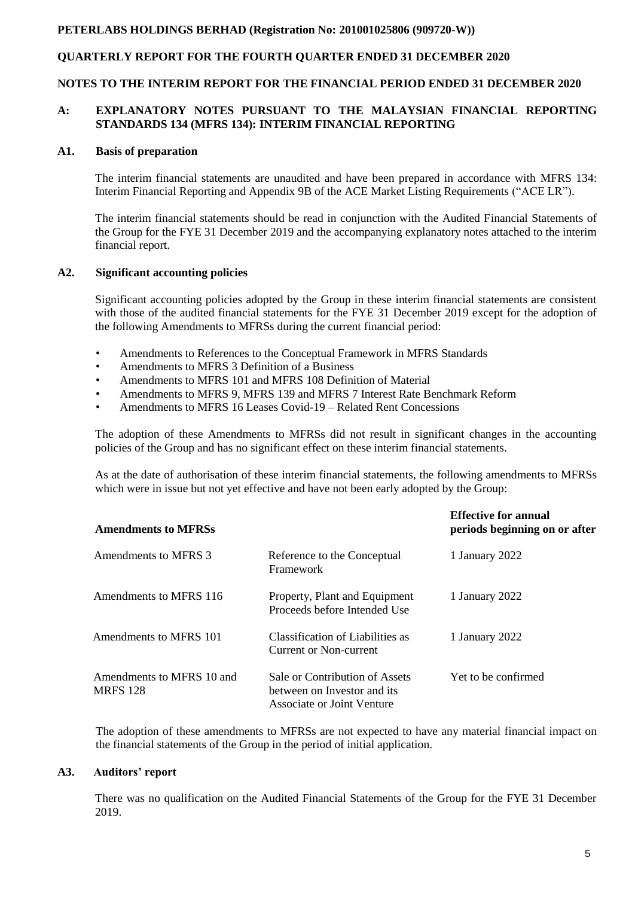# **QUARTERLY REPORT FOR THE FOURTH QUARTER ENDED 31 DECEMBER 2020**

#### **NOTES TO THE INTERIM REPORT FOR THE FINANCIAL PERIOD ENDED 31 DECEMBER 2020**

### **A: EXPLANATORY NOTES PURSUANT TO THE MALAYSIAN FINANCIAL REPORTING STANDARDS 134 (MFRS 134): INTERIM FINANCIAL REPORTING**

#### **A1. Basis of preparation**

The interim financial statements are unaudited and have been prepared in accordance with MFRS 134: Interim Financial Reporting and Appendix 9B of the ACE Market Listing Requirements ("ACE LR").

The interim financial statements should be read in conjunction with the Audited Financial Statements of the Group for the FYE 31 December 2019 and the accompanying explanatory notes attached to the interim financial report.

#### **A2. Significant accounting policies**

Significant accounting policies adopted by the Group in these interim financial statements are consistent with those of the audited financial statements for the FYE 31 December 2019 except for the adoption of the following Amendments to MFRSs during the current financial period:

- Amendments to References to the Conceptual Framework in MFRS Standards
- Amendments to MFRS 3 Definition of a Business
- Amendments to MFRS 101 and MFRS 108 Definition of Material
- Amendments to MFRS 9, MFRS 139 and MFRS 7 Interest Rate Benchmark Reform
- Amendments to MFRS 16 Leases Covid-19 Related Rent Concessions

The adoption of these Amendments to MFRSs did not result in significant changes in the accounting policies of the Group and has no significant effect on these interim financial statements.

As at the date of authorisation of these interim financial statements, the following amendments to MFRSs which were in issue but not yet effective and have not been early adopted by the Group:

| <b>Amendments to MFRSs</b>                   |                                                                                             | <b>Effective for annual</b><br>periods beginning on or after |
|----------------------------------------------|---------------------------------------------------------------------------------------------|--------------------------------------------------------------|
| Amendments to MFRS 3                         | Reference to the Conceptual<br>Framework                                                    | 1 January 2022                                               |
| Amendments to MFRS 116                       | Property, Plant and Equipment<br>Proceeds before Intended Use                               | 1 January 2022                                               |
| Amendments to MFRS 101                       | Classification of Liabilities as<br>Current or Non-current                                  | 1 January 2022                                               |
| Amendments to MFRS 10 and<br><b>MRFS</b> 128 | Sale or Contribution of Assets<br>between on Investor and its<br>Associate or Joint Venture | Yet to be confirmed                                          |

The adoption of these amendments to MFRSs are not expected to have any material financial impact on the financial statements of the Group in the period of initial application.

### **A3. Auditors' report**

There was no qualification on the Audited Financial Statements of the Group for the FYE 31 December 2019.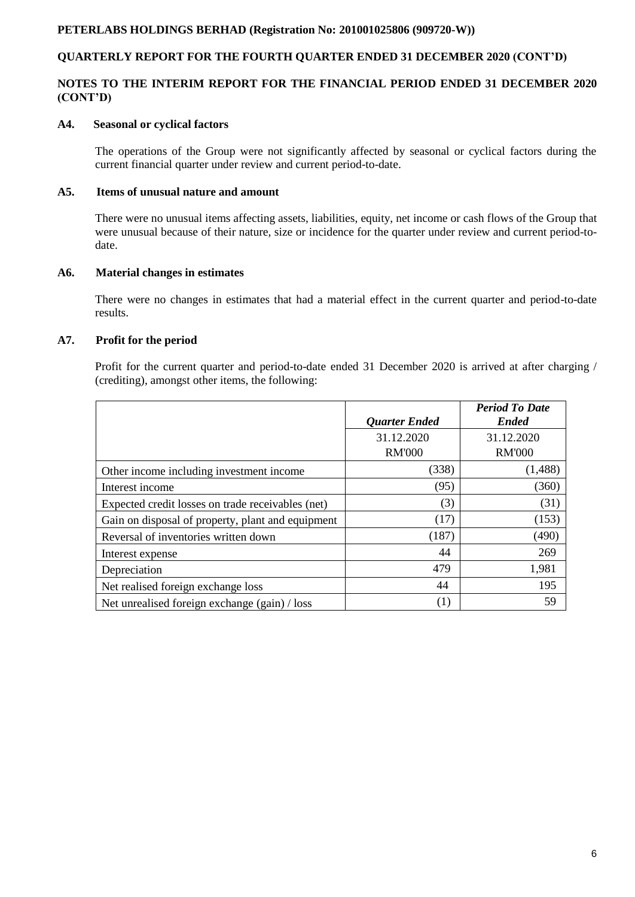# **QUARTERLY REPORT FOR THE FOURTH QUARTER ENDED 31 DECEMBER 2020 (CONT'D)**

# **NOTES TO THE INTERIM REPORT FOR THE FINANCIAL PERIOD ENDED 31 DECEMBER 2020 (CONT'D)**

### **A4. Seasonal or cyclical factors**

The operations of the Group were not significantly affected by seasonal or cyclical factors during the current financial quarter under review and current period-to-date.

#### **A5. Items of unusual nature and amount**

There were no unusual items affecting assets, liabilities, equity, net income or cash flows of the Group that were unusual because of their nature, size or incidence for the quarter under review and current period-todate.

### **A6. Material changes in estimates**

There were no changes in estimates that had a material effect in the current quarter and period-to-date results.

### **A7. Profit for the period**

Profit for the current quarter and period-to-date ended 31 December 2020 is arrived at after charging / (crediting), amongst other items, the following:

|                                                   | <b>Quarter Ended</b> | <b>Period To Date</b><br><b>Ended</b> |
|---------------------------------------------------|----------------------|---------------------------------------|
|                                                   | 31.12.2020           | 31.12.2020                            |
|                                                   | <b>RM'000</b>        | <b>RM'000</b>                         |
| Other income including investment income          | (338)                | (1,488)                               |
| Interest income                                   | (95)                 | (360)                                 |
| Expected credit losses on trade receivables (net) | (3)                  | (31)                                  |
| Gain on disposal of property, plant and equipment | (17)                 | (153)                                 |
| Reversal of inventories written down              | (187)                | (490)                                 |
| Interest expense                                  | 44                   | 269                                   |
| Depreciation                                      | 479                  | 1,981                                 |
| Net realised foreign exchange loss                | 44                   | 195                                   |
| Net unrealised foreign exchange (gain) / loss     | (1)                  | 59                                    |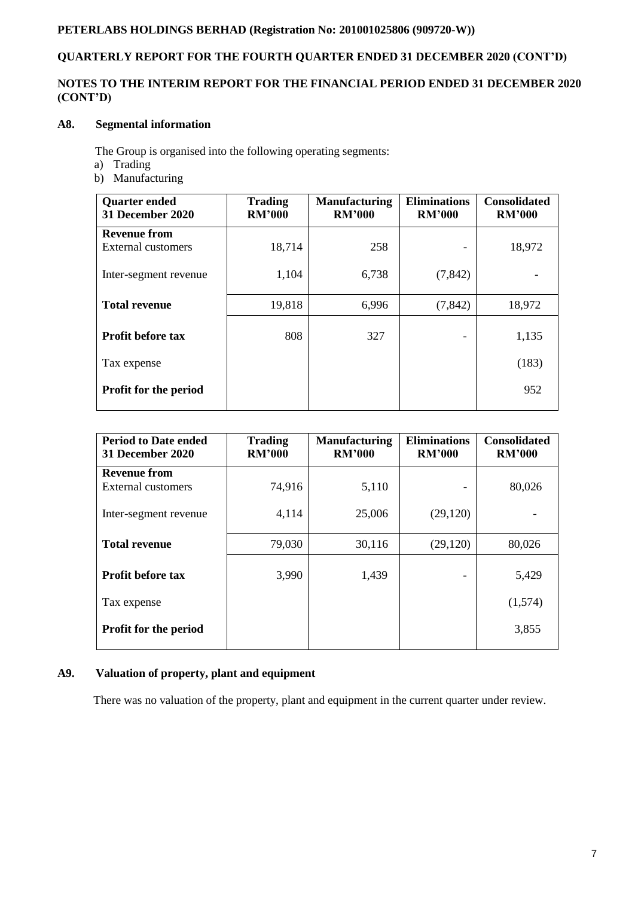# **QUARTERLY REPORT FOR THE FOURTH QUARTER ENDED 31 DECEMBER 2020 (CONT'D)**

# **NOTES TO THE INTERIM REPORT FOR THE FINANCIAL PERIOD ENDED 31 DECEMBER 2020 (CONT'D)**

# **A8. Segmental information**

The Group is organised into the following operating segments:

- a) Trading
- b) Manufacturing

| <b>Quarter ended</b><br>31 December 2020 | <b>Trading</b><br><b>RM'000</b> | <b>Manufacturing</b><br><b>RM'000</b> | <b>Eliminations</b><br><b>RM'000</b> | <b>Consolidated</b><br><b>RM'000</b> |
|------------------------------------------|---------------------------------|---------------------------------------|--------------------------------------|--------------------------------------|
| <b>Revenue from</b>                      |                                 |                                       |                                      |                                      |
| External customers                       | 18,714                          | 258                                   |                                      | 18,972                               |
| Inter-segment revenue                    | 1,104                           | 6,738                                 | (7, 842)                             |                                      |
| <b>Total revenue</b>                     | 19,818                          | 6,996                                 | (7, 842)                             | 18,972                               |
|                                          |                                 |                                       |                                      |                                      |
| <b>Profit before tax</b>                 | 808                             | 327                                   |                                      | 1,135                                |
| Tax expense                              |                                 |                                       |                                      | (183)                                |
| <b>Profit for the period</b>             |                                 |                                       |                                      | 952                                  |
|                                          |                                 |                                       |                                      |                                      |

| <b>Period to Date ended</b><br>31 December 2020 | <b>Trading</b><br><b>RM'000</b> | <b>Manufacturing</b><br><b>RM'000</b> | <b>Eliminations</b><br><b>RM'000</b> | <b>Consolidated</b><br><b>RM'000</b> |
|-------------------------------------------------|---------------------------------|---------------------------------------|--------------------------------------|--------------------------------------|
| <b>Revenue from</b>                             |                                 |                                       |                                      |                                      |
| External customers                              | 74,916                          | 5,110                                 |                                      | 80,026                               |
| Inter-segment revenue                           | 4,114                           | 25,006                                | (29, 120)                            |                                      |
| <b>Total revenue</b>                            | 79,030                          | 30,116                                | (29, 120)                            | 80,026                               |
| <b>Profit before tax</b>                        | 3,990                           | 1,439                                 |                                      | 5,429                                |
| Tax expense                                     |                                 |                                       |                                      | (1,574)                              |
| <b>Profit for the period</b>                    |                                 |                                       |                                      | 3,855                                |

# **A9. Valuation of property, plant and equipment**

There was no valuation of the property, plant and equipment in the current quarter under review.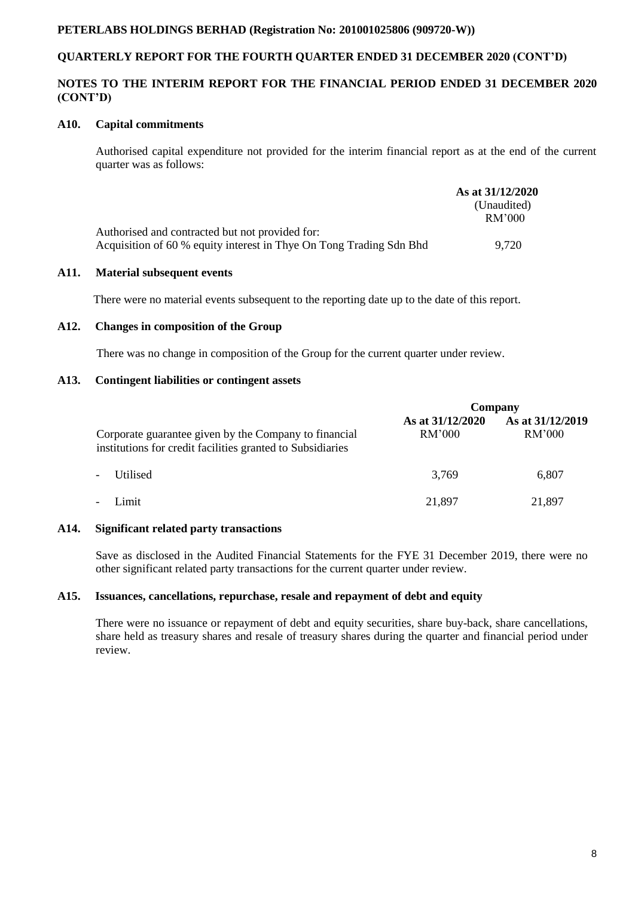# **QUARTERLY REPORT FOR THE FOURTH QUARTER ENDED 31 DECEMBER 2020 (CONT'D)**

# **NOTES TO THE INTERIM REPORT FOR THE FINANCIAL PERIOD ENDED 31 DECEMBER 2020 (CONT'D)**

### **A10. Capital commitments**

Authorised capital expenditure not provided for the interim financial report as at the end of the current quarter was as follows:

|                                                                     | As at 31/12/2020 |
|---------------------------------------------------------------------|------------------|
|                                                                     | (Unaudited)      |
|                                                                     | RM'000           |
| Authorised and contracted but not provided for:                     |                  |
| Acquisition of 60 % equity interest in Thye On Tong Trading Sdn Bhd | 9.720            |

#### **A11. Material subsequent events**

There were no material events subsequent to the reporting date up to the date of this report.

#### **A12. Changes in composition of the Group**

There was no change in composition of the Group for the current quarter under review.

### **A13. Contingent liabilities or contingent assets**

|                                                                                                                     | Company                    |                                   |  |
|---------------------------------------------------------------------------------------------------------------------|----------------------------|-----------------------------------|--|
| Corporate guarantee given by the Company to financial<br>institutions for credit facilities granted to Subsidiaries | As at 31/12/2020<br>RM'000 | As at 31/12/2019<br><b>RM'000</b> |  |
| Utilised<br>$\overline{\phantom{a}}$                                                                                | 3,769                      | 6,807                             |  |
| Limit<br>$\overline{\phantom{a}}$                                                                                   | 21,897                     | 21,897                            |  |

### **A14. Significant related party transactions**

Save as disclosed in the Audited Financial Statements for the FYE 31 December 2019, there were no other significant related party transactions for the current quarter under review.

# **A15. Issuances, cancellations, repurchase, resale and repayment of debt and equity**

There were no issuance or repayment of debt and equity securities, share buy-back, share cancellations, share held as treasury shares and resale of treasury shares during the quarter and financial period under review.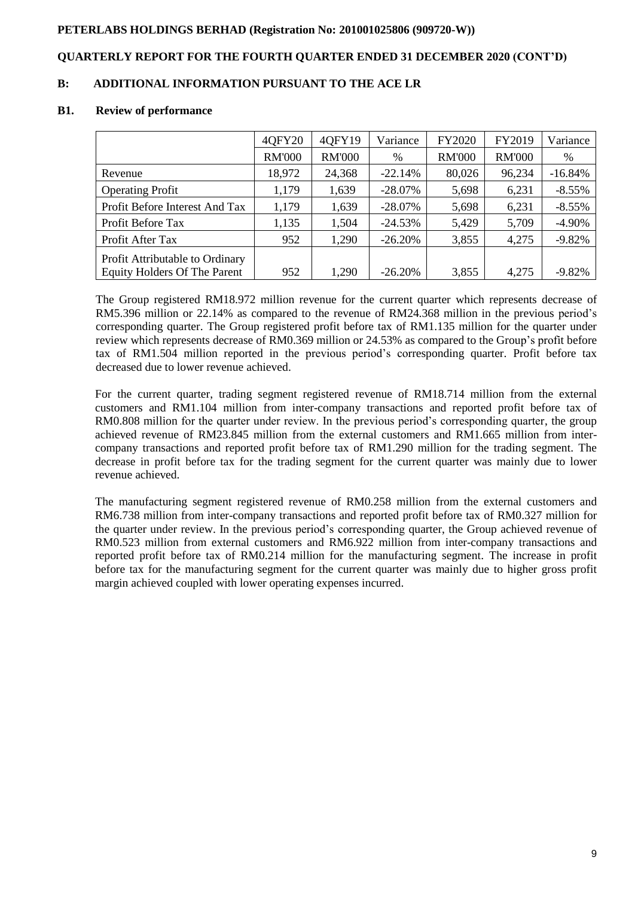# **QUARTERLY REPORT FOR THE FOURTH QUARTER ENDED 31 DECEMBER 2020 (CONT'D)**

# **B: ADDITIONAL INFORMATION PURSUANT TO THE ACE LR**

#### **B1. Review of performance**

|                                     | 40FY20        | 40FY19        | Variance   | FY2020        | FY2019        | Variance  |
|-------------------------------------|---------------|---------------|------------|---------------|---------------|-----------|
|                                     | <b>RM'000</b> | <b>RM'000</b> | $\%$       | <b>RM'000</b> | <b>RM'000</b> | %         |
| Revenue                             | 18,972        | 24,368        | $-22.14%$  | 80,026        | 96,234        | $-16.84%$ |
| <b>Operating Profit</b>             | 1,179         | 1,639         | $-28.07\%$ | 5,698         | 6,231         | $-8.55%$  |
| Profit Before Interest And Tax      | 1,179         | 1,639         | $-28.07\%$ | 5,698         | 6,231         | $-8.55%$  |
| Profit Before Tax                   | 1,135         | 1,504         | $-24.53%$  | 5,429         | 5,709         | $-4.90\%$ |
| Profit After Tax                    | 952           | 1,290         | $-26.20%$  | 3,855         | 4,275         | $-9.82%$  |
| Profit Attributable to Ordinary     |               |               |            |               |               |           |
| <b>Equity Holders Of The Parent</b> | 952           | 1,290         | $-26.20%$  | 3,855         | 4,275         | $-9.82%$  |

The Group registered RM18.972 million revenue for the current quarter which represents decrease of RM5.396 million or 22.14% as compared to the revenue of RM24.368 million in the previous period's corresponding quarter. The Group registered profit before tax of RM1.135 million for the quarter under review which represents decrease of RM0.369 million or 24.53% as compared to the Group's profit before tax of RM1.504 million reported in the previous period's corresponding quarter. Profit before tax decreased due to lower revenue achieved.

For the current quarter, trading segment registered revenue of RM18.714 million from the external customers and RM1.104 million from inter-company transactions and reported profit before tax of RM0.808 million for the quarter under review. In the previous period's corresponding quarter, the group achieved revenue of RM23.845 million from the external customers and RM1.665 million from intercompany transactions and reported profit before tax of RM1.290 million for the trading segment. The decrease in profit before tax for the trading segment for the current quarter was mainly due to lower revenue achieved.

The manufacturing segment registered revenue of RM0.258 million from the external customers and RM6.738 million from inter-company transactions and reported profit before tax of RM0.327 million for the quarter under review. In the previous period's corresponding quarter, the Group achieved revenue of RM0.523 million from external customers and RM6.922 million from inter-company transactions and reported profit before tax of RM0.214 million for the manufacturing segment. The increase in profit before tax for the manufacturing segment for the current quarter was mainly due to higher gross profit margin achieved coupled with lower operating expenses incurred.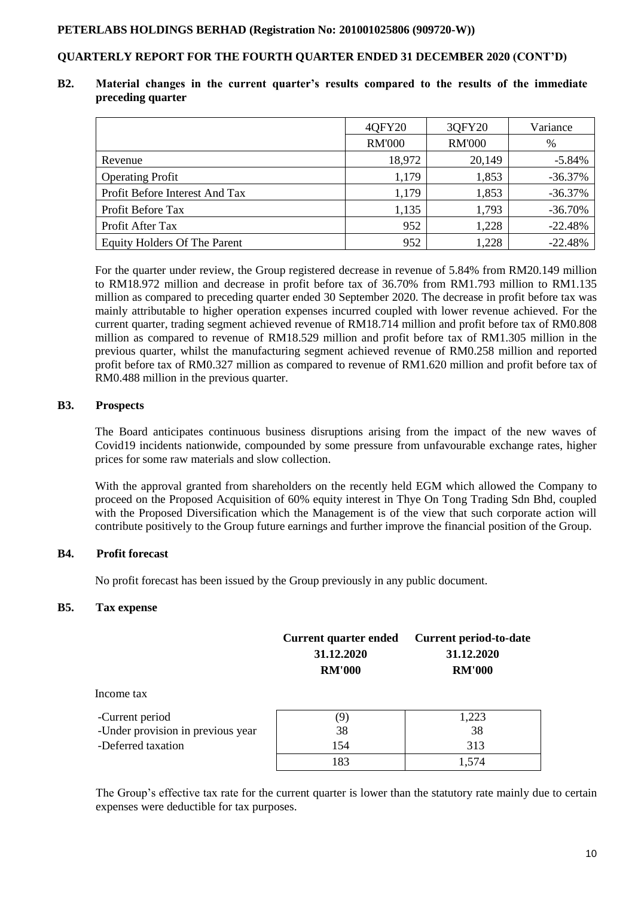# **QUARTERLY REPORT FOR THE FOURTH QUARTER ENDED 31 DECEMBER 2020 (CONT'D)**

### **B2. Material changes in the current quarter's results compared to the results of the immediate preceding quarter**

|                                     | 40FY20        | 3QFY20        | Variance  |
|-------------------------------------|---------------|---------------|-----------|
|                                     | <b>RM'000</b> | <b>RM'000</b> | %         |
| Revenue                             | 18,972        | 20,149        | $-5.84%$  |
| <b>Operating Profit</b>             | 1,179         | 1,853         | $-36.37%$ |
| Profit Before Interest And Tax      | 1,179         | 1,853         | $-36.37%$ |
| Profit Before Tax                   | 1,135         | 1,793         | $-36.70%$ |
| Profit After Tax                    | 952           | 1,228         | $-22.48%$ |
| <b>Equity Holders Of The Parent</b> | 952           | 1,228         | $-22.48%$ |

For the quarter under review, the Group registered decrease in revenue of 5.84% from RM20.149 million to RM18.972 million and decrease in profit before tax of 36.70% from RM1.793 million to RM1.135 million as compared to preceding quarter ended 30 September 2020. The decrease in profit before tax was mainly attributable to higher operation expenses incurred coupled with lower revenue achieved. For the current quarter, trading segment achieved revenue of RM18.714 million and profit before tax of RM0.808 million as compared to revenue of RM18.529 million and profit before tax of RM1.305 million in the previous quarter, whilst the manufacturing segment achieved revenue of RM0.258 million and reported profit before tax of RM0.327 million as compared to revenue of RM1.620 million and profit before tax of RM0.488 million in the previous quarter.

### **B3. Prospects**

The Board anticipates continuous business disruptions arising from the impact of the new waves of Covid19 incidents nationwide, compounded by some pressure from unfavourable exchange rates, higher prices for some raw materials and slow collection.

With the approval granted from shareholders on the recently held EGM which allowed the Company to proceed on the Proposed Acquisition of 60% equity interest in Thye On Tong Trading Sdn Bhd, coupled with the Proposed Diversification which the Management is of the view that such corporate action will contribute positively to the Group future earnings and further improve the financial position of the Group.

# **B4. Profit forecast**

No profit forecast has been issued by the Group previously in any public document.

### **B5. Tax expense**

|                                   | <b>Current quarter ended</b><br>31.12.2020<br><b>RM'000</b> | <b>Current period-to-date</b><br>31.12.2020<br><b>RM'000</b> |  |  |
|-----------------------------------|-------------------------------------------------------------|--------------------------------------------------------------|--|--|
| Income tax                        |                                                             |                                                              |  |  |
| -Current period                   | (9)                                                         | 1,223                                                        |  |  |
| -Under provision in previous year | 38                                                          | 38                                                           |  |  |
| -Deferred taxation                | 154                                                         | 313                                                          |  |  |
|                                   | 183                                                         | 1,574                                                        |  |  |

The Group's effective tax rate for the current quarter is lower than the statutory rate mainly due to certain expenses were deductible for tax purposes.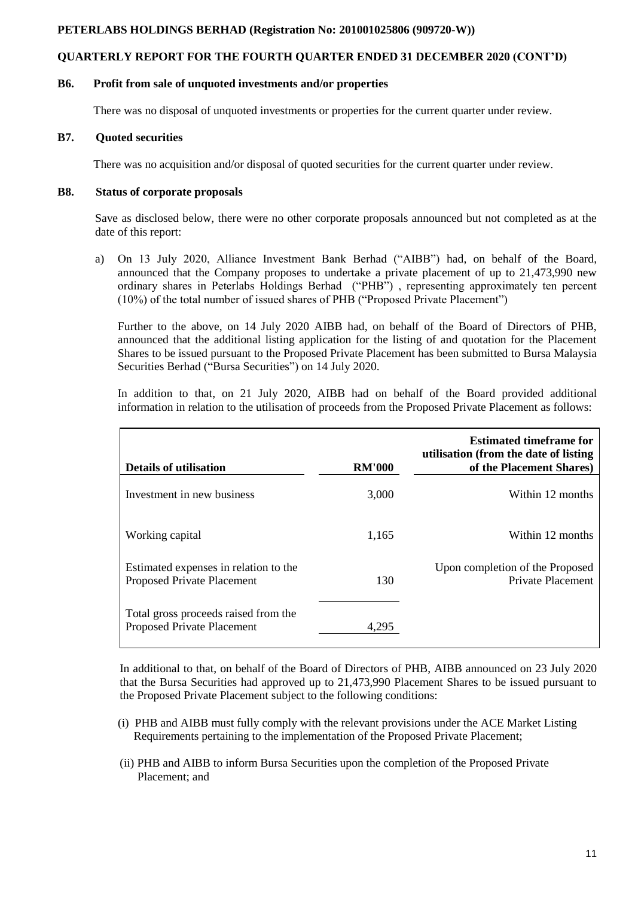# **QUARTERLY REPORT FOR THE FOURTH QUARTER ENDED 31 DECEMBER 2020 (CONT'D)**

### **B6. Profit from sale of unquoted investments and/or properties**

There was no disposal of unquoted investments or properties for the current quarter under review.

# **B7. Quoted securities**

There was no acquisition and/or disposal of quoted securities for the current quarter under review.

## **B8. Status of corporate proposals**

Save as disclosed below, there were no other corporate proposals announced but not completed as at the date of this report:

a) On 13 July 2020, Alliance Investment Bank Berhad ("AIBB") had, on behalf of the Board, announced that the Company proposes to undertake a private placement of up to 21,473,990 new ordinary shares in Peterlabs Holdings Berhad ("PHB") , representing approximately ten percent (10%) of the total number of issued shares of PHB ("Proposed Private Placement")

Further to the above, on 14 July 2020 AIBB had, on behalf of the Board of Directors of PHB, announced that the additional listing application for the listing of and quotation for the Placement Shares to be issued pursuant to the Proposed Private Placement has been submitted to Bursa Malaysia Securities Berhad ("Bursa Securities") on 14 July 2020.

In addition to that, on 21 July 2020, AIBB had on behalf of the Board provided additional information in relation to the utilisation of proceeds from the Proposed Private Placement as follows:

| <b>Details of utilisation</b>                                              | <b>RM'000</b> | <b>Estimated timeframe for</b><br>utilisation (from the date of listing)<br>of the Placement Shares) |
|----------------------------------------------------------------------------|---------------|------------------------------------------------------------------------------------------------------|
| Investment in new business                                                 | 3,000         | Within 12 months                                                                                     |
| Working capital                                                            | 1,165         | Within 12 months                                                                                     |
| Estimated expenses in relation to the<br><b>Proposed Private Placement</b> | 130           | Upon completion of the Proposed<br><b>Private Placement</b>                                          |
| Total gross proceeds raised from the<br>Proposed Private Placement         | 4.295         |                                                                                                      |

In additional to that, on behalf of the Board of Directors of PHB, AIBB announced on 23 July 2020 that the Bursa Securities had approved up to 21,473,990 Placement Shares to be issued pursuant to the Proposed Private Placement subject to the following conditions:

- (i) PHB and AIBB must fully comply with the relevant provisions under the ACE Market Listing Requirements pertaining to the implementation of the Proposed Private Placement;
- (ii) PHB and AIBB to inform Bursa Securities upon the completion of the Proposed Private Placement; and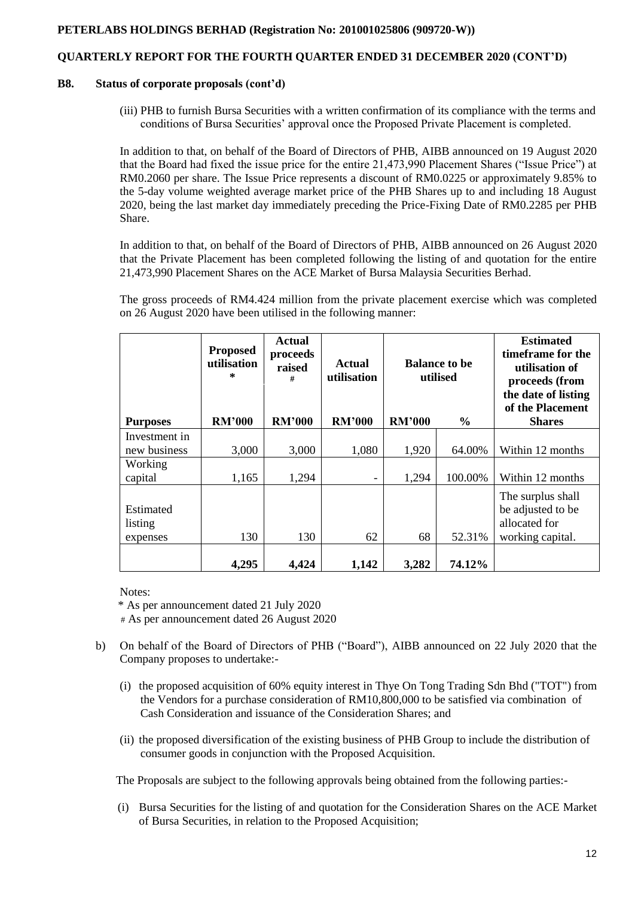# **QUARTERLY REPORT FOR THE FOURTH QUARTER ENDED 31 DECEMBER 2020 (CONT'D)**

#### **B8. Status of corporate proposals (cont'd)**

(iii) PHB to furnish Bursa Securities with a written confirmation of its compliance with the terms and conditions of Bursa Securities' approval once the Proposed Private Placement is completed.

In addition to that, on behalf of the Board of Directors of PHB, AIBB announced on 19 August 2020 that the Board had fixed the issue price for the entire 21,473,990 Placement Shares ("Issue Price") at RM0.2060 per share. The Issue Price represents a discount of RM0.0225 or approximately 9.85% to the 5-day volume weighted average market price of the PHB Shares up to and including 18 August 2020, being the last market day immediately preceding the Price-Fixing Date of RM0.2285 per PHB Share.

In addition to that, on behalf of the Board of Directors of PHB, AIBB announced on 26 August 2020 that the Private Placement has been completed following the listing of and quotation for the entire 21,473,990 Placement Shares on the ACE Market of Bursa Malaysia Securities Berhad.

The gross proceeds of RM4.424 million from the private placement exercise which was completed on 26 August 2020 have been utilised in the following manner:

|                                  | <b>Proposed</b><br>utilisation<br>$\ast$ | <b>Actual</b><br>proceeds<br>raised<br># | <b>Actual</b><br>utilisation | <b>Balance to be</b><br>utilised |               | <b>Estimated</b><br>timeframe for the<br>utilisation of<br>proceeds (from<br>the date of listing<br>of the Placement |
|----------------------------------|------------------------------------------|------------------------------------------|------------------------------|----------------------------------|---------------|----------------------------------------------------------------------------------------------------------------------|
| <b>Purposes</b>                  | <b>RM'000</b>                            | <b>RM'000</b>                            | <b>RM'000</b>                | <b>RM'000</b>                    | $\frac{6}{9}$ | <b>Shares</b>                                                                                                        |
| Investment in<br>new business    | 3,000                                    | 3,000                                    | 1,080                        | 1,920                            | 64.00%        | Within 12 months                                                                                                     |
| Working<br>capital               | 1,165                                    | 1,294                                    |                              | 1,294                            | 100.00%       | Within 12 months                                                                                                     |
| Estimated<br>listing<br>expenses | 130                                      | 130                                      | 62                           | 68                               | 52.31%        | The surplus shall<br>be adjusted to be<br>allocated for<br>working capital.                                          |
|                                  | 4,295                                    | 4,424                                    | 1,142                        | 3,282                            | 74.12%        |                                                                                                                      |

Notes:

'\* As per announcement dated 21 July 2020

# As per announcement dated 26 August 2020

- b) On behalf of the Board of Directors of PHB ("Board"), AIBB announced on 22 July 2020 that the Company proposes to undertake:-
	- (i) the proposed acquisition of 60% equity interest in Thye On Tong Trading Sdn Bhd ("TOT") from the Vendors for a purchase consideration of RM10,800,000 to be satisfied via combination of Cash Consideration and issuance of the Consideration Shares; and
	- (ii) the proposed diversification of the existing business of PHB Group to include the distribution of consumer goods in conjunction with the Proposed Acquisition.

The Proposals are subject to the following approvals being obtained from the following parties:-

(i) Bursa Securities for the listing of and quotation for the Consideration Shares on the ACE Market of Bursa Securities, in relation to the Proposed Acquisition;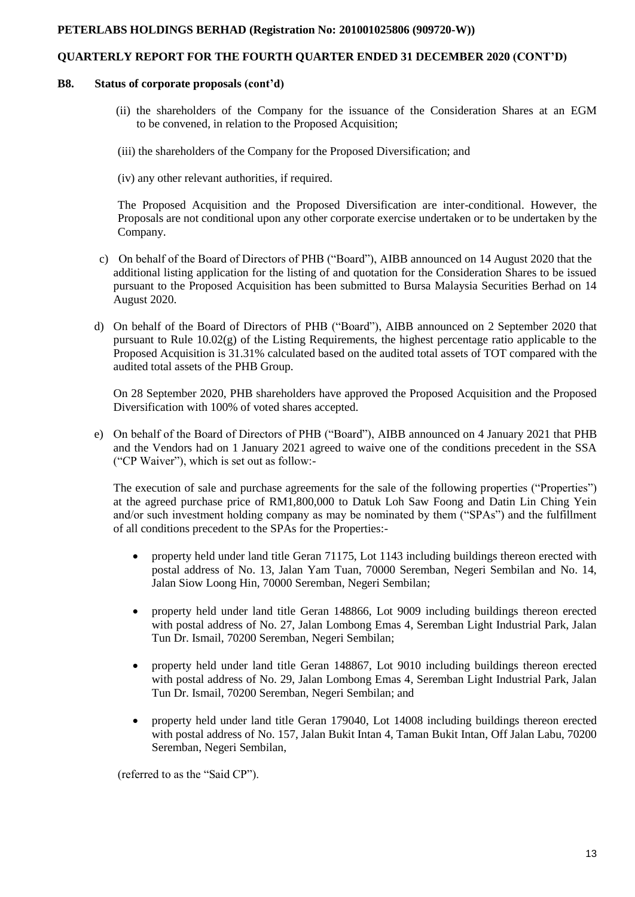# **QUARTERLY REPORT FOR THE FOURTH QUARTER ENDED 31 DECEMBER 2020 (CONT'D)**

#### **B8. Status of corporate proposals (cont'd)**

- (ii) the shareholders of the Company for the issuance of the Consideration Shares at an EGM to be convened, in relation to the Proposed Acquisition;
- (iii) the shareholders of the Company for the Proposed Diversification; and
- (iv) any other relevant authorities, if required.

The Proposed Acquisition and the Proposed Diversification are inter-conditional. However, the Proposals are not conditional upon any other corporate exercise undertaken or to be undertaken by the Company.

- c) On behalf of the Board of Directors of PHB ("Board"), AIBB announced on 14 August 2020 that the additional listing application for the listing of and quotation for the Consideration Shares to be issued pursuant to the Proposed Acquisition has been submitted to Bursa Malaysia Securities Berhad on 14 August 2020.
- d) On behalf of the Board of Directors of PHB ("Board"), AIBB announced on 2 September 2020 that pursuant to Rule  $10.02(g)$  of the Listing Requirements, the highest percentage ratio applicable to the Proposed Acquisition is 31.31% calculated based on the audited total assets of TOT compared with the audited total assets of the PHB Group.

On 28 September 2020, PHB shareholders have approved the Proposed Acquisition and the Proposed Diversification with 100% of voted shares accepted.

e) On behalf of the Board of Directors of PHB ("Board"), AIBB announced on 4 January 2021 that PHB and the Vendors had on 1 January 2021 agreed to waive one of the conditions precedent in the SSA ("CP Waiver"), which is set out as follow:-

The execution of sale and purchase agreements for the sale of the following properties ("Properties") at the agreed purchase price of RM1,800,000 to Datuk Loh Saw Foong and Datin Lin Ching Yein and/or such investment holding company as may be nominated by them ("SPAs") and the fulfillment of all conditions precedent to the SPAs for the Properties:-

- property held under land title Geran 71175, Lot 1143 including buildings thereon erected with postal address of No. 13, Jalan Yam Tuan, 70000 Seremban, Negeri Sembilan and No. 14, Jalan Siow Loong Hin, 70000 Seremban, Negeri Sembilan;
- property held under land title Geran 148866, Lot 9009 including buildings thereon erected with postal address of No. 27, Jalan Lombong Emas 4, Seremban Light Industrial Park, Jalan Tun Dr. Ismail, 70200 Seremban, Negeri Sembilan;
- property held under land title Geran 148867, Lot 9010 including buildings thereon erected with postal address of No. 29, Jalan Lombong Emas 4, Seremban Light Industrial Park, Jalan Tun Dr. Ismail, 70200 Seremban, Negeri Sembilan; and
- property held under land title Geran 179040, Lot 14008 including buildings thereon erected with postal address of No. 157, Jalan Bukit Intan 4, Taman Bukit Intan, Off Jalan Labu, 70200 Seremban, Negeri Sembilan,

(referred to as the "Said CP").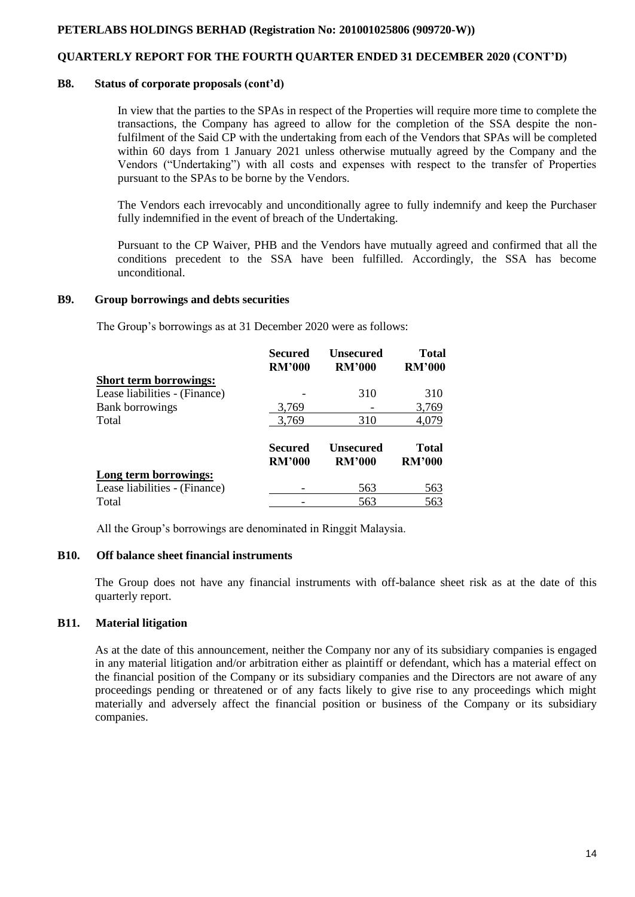# **QUARTERLY REPORT FOR THE FOURTH QUARTER ENDED 31 DECEMBER 2020 (CONT'D)**

#### **B8. Status of corporate proposals (cont'd)**

In view that the parties to the SPAs in respect of the Properties will require more time to complete the transactions, the Company has agreed to allow for the completion of the SSA despite the nonfulfilment of the Said CP with the undertaking from each of the Vendors that SPAs will be completed within 60 days from 1 January 2021 unless otherwise mutually agreed by the Company and the Vendors ("Undertaking") with all costs and expenses with respect to the transfer of Properties pursuant to the SPAs to be borne by the Vendors.

The Vendors each irrevocably and unconditionally agree to fully indemnify and keep the Purchaser fully indemnified in the event of breach of the Undertaking.

Pursuant to the CP Waiver, PHB and the Vendors have mutually agreed and confirmed that all the conditions precedent to the SSA have been fulfilled. Accordingly, the SSA has become unconditional.

#### **B9. Group borrowings and debts securities**

The Group's borrowings as at 31 December 2020 were as follows:

|                               | <b>Secured</b><br><b>RM'000</b> | <b>Unsecured</b><br><b>RM'000</b> | <b>Total</b><br><b>RM'000</b> |
|-------------------------------|---------------------------------|-----------------------------------|-------------------------------|
| <b>Short term borrowings:</b> |                                 |                                   |                               |
| Lease liabilities - (Finance) |                                 | 310                               | 310                           |
| <b>Bank borrowings</b>        | 3,769                           |                                   | 3,769                         |
| Total                         | 3,769                           | 310                               | 4,079                         |
|                               | Secured<br><b>RM'000</b>        | Unsecured<br><b>RM'000</b>        | <b>Total</b><br><b>RM'000</b> |
| Long term borrowings:         |                                 |                                   |                               |
| Lease liabilities - (Finance) |                                 | 563                               | 563                           |
| Total                         |                                 | 563                               | 563                           |

All the Group's borrowings are denominated in Ringgit Malaysia.

### **B10. Off balance sheet financial instruments**

The Group does not have any financial instruments with off-balance sheet risk as at the date of this quarterly report.

### **B11. Material litigation**

As at the date of this announcement, neither the Company nor any of its subsidiary companies is engaged in any material litigation and/or arbitration either as plaintiff or defendant, which has a material effect on the financial position of the Company or its subsidiary companies and the Directors are not aware of any proceedings pending or threatened or of any facts likely to give rise to any proceedings which might materially and adversely affect the financial position or business of the Company or its subsidiary companies.